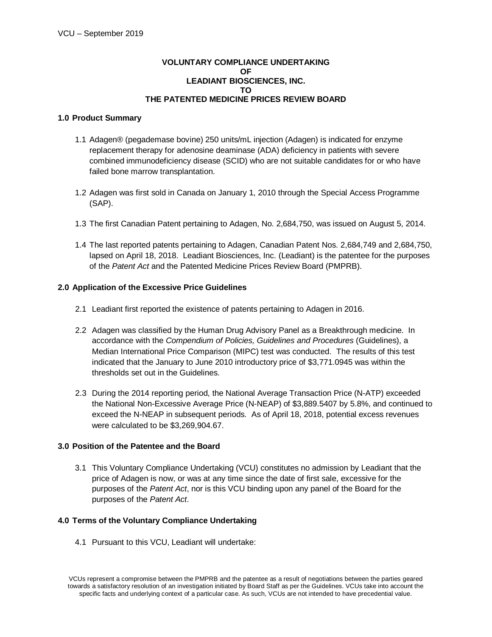# **VOLUNTARY COMPLIANCE UNDERTAKING OF LEADIANT BIOSCIENCES, INC. TO THE PATENTED MEDICINE PRICES REVIEW BOARD**

# **1.0 Product Summary**

- 1.1 Adagen® (pegademase bovine) 250 units/mL injection (Adagen) is indicated for enzyme replacement therapy for adenosine deaminase (ADA) deficiency in patients with severe combined immunodeficiency disease (SCID) who are not suitable candidates for or who have failed bone marrow transplantation.
- 1.2 Adagen was first sold in Canada on January 1, 2010 through the Special Access Programme (SAP).
- 1.3 The first Canadian Patent pertaining to Adagen, No. 2,684,750, was issued on August 5, 2014.
- 1.4 The last reported patents pertaining to Adagen, Canadian Patent Nos. 2,684,749 and 2,684,750, lapsed on April 18, 2018. Leadiant Biosciences, Inc. (Leadiant) is the patentee for the purposes of the *Patent Act* and the Patented Medicine Prices Review Board (PMPRB).

### **2.0 Application of the Excessive Price Guidelines**

- 2.1 Leadiant first reported the existence of patents pertaining to Adagen in 2016.
- 2.2 Adagen was classified by the Human Drug Advisory Panel as a Breakthrough medicine. In accordance with the *Compendium of Policies, Guidelines and Procedures* (Guidelines), a Median International Price Comparison (MIPC) test was conducted. The results of this test indicated that the January to June 2010 introductory price of \$3,771.0945 was within the thresholds set out in the Guidelines.
- 2.3 During the 2014 reporting period, the National Average Transaction Price (N-ATP) exceeded the National Non-Excessive Average Price (N-NEAP) of \$3,889.5407 by 5.8%, and continued to exceed the N-NEAP in subsequent periods. As of April 18, 2018, potential excess revenues were calculated to be \$3,269,904.67.

# **3.0 Position of the Patentee and the Board**

3.1 This Voluntary Compliance Undertaking (VCU) constitutes no admission by Leadiant that the price of Adagen is now, or was at any time since the date of first sale, excessive for the purposes of the *Patent Act*, nor is this VCU binding upon any panel of the Board for the purposes of the *Patent Act*.

#### **4.0 Terms of the Voluntary Compliance Undertaking**

4.1 Pursuant to this VCU, Leadiant will undertake:

VCUs represent a compromise between the PMPRB and the patentee as a result of negotiations between the parties geared towards a satisfactory resolution of an investigation initiated by Board Staff as per the Guidelines. VCUs take into account the specific facts and underlying context of a particular case. As such, VCUs are not intended to have precedential value.